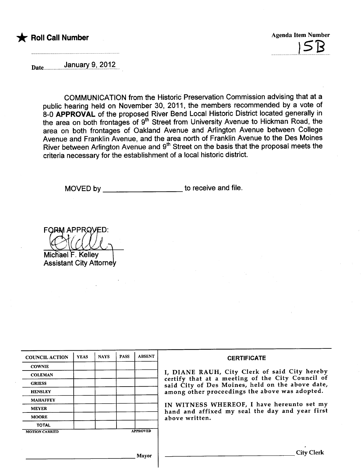

uuuJu?u~.

Dateuuuuuuuuu .u~.a.n.~a.r.u~"u?9.1?...

COMMUNICATION from the Historic Preservation Commission advising that at a public hearing held on November 30, 2011, the members recommended by a vote of 8-0 APPROVAL of the proposed River Bend Local Historic District located generally in the area on both frontages of 9<sup>th</sup> Street from University Avenue to Hickman Road, the area on both frontages of Oakland Avenue and Arlington Avenue between College Avenue and Franklin Avenue, and the area north of Franklin Avenue to the Des Moines River between Arlington Avenue and 9"' Street on the basis that the proposal meets the criteria necessary for the establishment of a local historic district.

MOVED by to receive and file.

**FORM APPROVED:** 

Michael F. Kelley Assistant City Attorne

| <b>COUNCIL ACTION</b> | <b>YEAS</b> | <b>NAYS</b> | <b>PASS</b> | <b>ABSENT</b>   | <b>CERTIFICATE</b>                                                                                |
|-----------------------|-------------|-------------|-------------|-----------------|---------------------------------------------------------------------------------------------------|
| <b>COWNIE</b>         |             |             |             |                 |                                                                                                   |
| <b>COLEMAN</b>        |             |             |             |                 | I, DIANE RAUH, City Clerk of said City hereby<br>certify that at a meeting of the City Council of |
| <b>GRIESS</b>         |             |             |             |                 | said City of Des Moines, held on the above date,                                                  |
| <b>HENSLEY</b>        |             |             |             |                 | among other proceedings the above was adopted.                                                    |
| <b>MAHAFFEY</b>       |             |             |             |                 |                                                                                                   |
| <b>MEYER</b>          |             |             |             |                 | IN WITNESS WHEREOF, I have hereunto set my<br>hand and affixed my seal the day and year first     |
| <b>MOORE</b>          |             |             |             |                 | above written.                                                                                    |
| <b>TOTAL</b>          |             |             |             |                 |                                                                                                   |
| <b>MOTION CARRIED</b> |             |             |             | <b>APPROVED</b> |                                                                                                   |
|                       |             |             |             |                 |                                                                                                   |
|                       |             |             |             | Mayor           | City                                                                                              |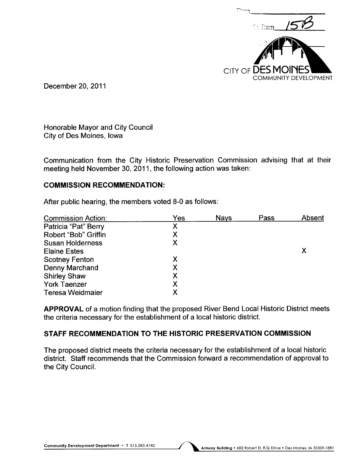

December 20,2011

Honorable Mayor and City Council City of Des Moines, Iowa

Communication from the City Historic Preservation Commission advising that at their meeting held November 30,2011, the following action was taken:

#### COMMISSION RECOMMENDATION:

After public hearing, the members voted 8-0 as follows:

| <b>Commission Action:</b> | Yes | <b>Nays</b> | Pass | Absent |
|---------------------------|-----|-------------|------|--------|
| Patricia "Pat" Berry      | Х   |             |      |        |
| Robert "Bob" Griffin      |     |             |      |        |
| <b>Susan Holderness</b>   | X   |             |      |        |
| <b>Elaine Estes</b>       |     |             |      |        |
| <b>Scotney Fenton</b>     |     |             |      |        |
| Denny Marchand            |     |             |      |        |
| <b>Shirley Shaw</b>       | X   |             |      |        |
| <b>York Taenzer</b>       |     |             |      |        |
| <b>Teresa Weidmaier</b>   |     |             |      |        |

APPROVAL of a motion finding that the proposed River Bend Local Historic District meets the criteria necessary for the establishment of a local historic district.

## STAFF RECOMMENDATION TO THE HISTORIC PRESERVATION COMMISSION

The proposed district meets the criteria necessary for the establishment of a local historic district. Staff recommends that the Commission forward a recommendation of approval to the City CounciL.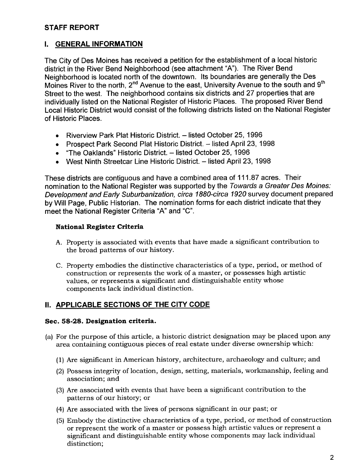## STAFF REPORT

## I. GENERAL INFORMATION

The City of Des Moines has received a petition for the establishment of a local historic district in the River Bend Neighborhood (see attachment "A"). The River Bend Neighborhood is located north of the downtown. Its boundaries are generally the Des Moines River to the north, 2<sup>nd</sup> Avenue to the east, University Avenue to the south and 9<sup>th</sup> Street to the west. The neighborhood contains six districts and 27 properties that are individually listed on the National Register of Historic Places. The proposed River Bend Local Historic District would consist of the following districts listed on the National Register of Historic Places.

- Riverview Park Plat Historic District. listed October 25, 1996
- Prospect Park Second Plat Historic District. listed April 23, 1998
- "The Oaklands" Historic District. listed October 25, 1996
- West Ninth Streetcar Line Historic District. listed April 23, 1998

These districts are contiguous and have a combined area of 111.87 acres. Their nomination to the National Register was supported by the Towards a Greater Des Moines: Development and Early Suburbanization, circa 188D-circa 1920 survey document prepared by Will Page, Public Historian. The nomination forms for each district indicate that they meet the National Register Criteria "A" and "C".

## National Register Criteria

- A. Property is associated with events that have made a significant contribution to the broad patterns of our history.
- C. Property embodies the distinctive characteristics of a type, period, or method of construction or represents the work of a master, or possesses high artistic values, or represents a significant and distinguishable entity whose components lack individual distinction.

## II. APPLICABLE SECTIONS OF THE CITY CODE

#### Sec. 58-28. Designation criteria.

- (a) For the purpose of this article, a historic district designation may be placed upon any area containing contiguous pieces of real estate under diverse ownership which:
	- (1) Are significant in American history, architecture, archaeology and culture; and
	- (2) Possess integrity of location, design, setting, materials, workmanship, feeling and association; and
	- (3) Are associated with events that have been a significant contribution to the patterns of our history; or
	- (4) Are associated with the lives of persons significant in our past; or
	- (5) Embody the distinctive characteristics of a type, period, or method of construction or represent the work of a master or possess high artistic values or represent a significant and distinguishable entity whose components may lack individual distinction;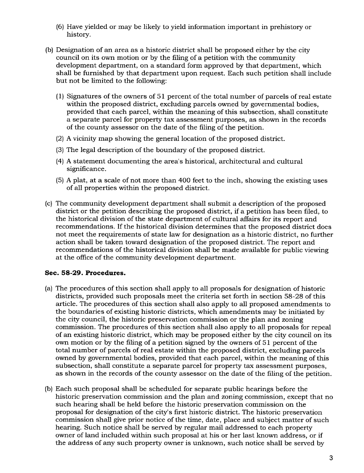- (6) Have yielded or may be likely to yield information important in prehistory or history.
- (b) Designation of an area as a historic district shall be proposed either by the city council on its own motion or by the filing of a petition with the community development department, on a standard form approved by that department, which shall be furnished by that department upon request. Each such petition shall include but not be limited to the following:
	- (1) Signatures of the owners of 51 percent of the total number of parcels of real estate within the proposed district, excluding parcels owned by governmental bodies, provided that each parcel, within the meaning of this subsection, shall constitute a separate parcel for property tax assessment purposes, as shown in the records of the county assessor on the date of the filing of the petition.
	- (2) A vicinity map showing the general location of the proposed district.
	- (3) The legal description of the boundary of the proposed district.
	- (4) A statement documenting the area's historical, architectural and cultural significance.
	- (5) A plat, at a scale of not more than 400 feet to the inch, showing the existing uses of all properties within the proposed district.
- (c) The community development department shall submit a description of the proposed district or the petition describing the proposed district, if a petition has been fied, to the historical division of the state department of cultural affairs for its report and recommendations. If the historical division determines that the proposed district does not meet the requirements of state law for designation as a historic district, no further action shall be taken toward designation of the proposed district. The report and recommendations of the historical division shall be made available for public viewing at the office of the community development department.

#### Sec. 58-29. Procedures.

- (a) The procedures of this section shall apply to all proposals for designation of historic districts, provided such proposals meet the criteria set forth in section 58-28 of this article. The procedures of this section shall also apply to all proposed amendments to the boundaries of existing historic districts, which amendments may be initiated by the city council, the historic preservation commission or the plan and zoning commission. The procedures of this section shall also apply to all proposals for repeal of an existing historic district, which may be proposed either by the city council on its own motion or by the filing of a petition signed by the owners of 51 percent of the total number of parcels of real estate within the proposed district, excluding parcels owned by governmental bodies, provided that each parcel, within the meaning of this subsection, shall constitute a separate parcel for property tax assessment purposes, as shown in the records of the county assessor on the date of the fiing of the petition.
- (b) Each such proposal shall be scheduled for separate public hearings before the historic preservation commission and the plan and zoning commission, except that no such hearing shall be held before the historic preservation commission on the proposal for designation of the city's first historic district. The historic preservation commission shall give prior notice of the time, date, place and subject matter of such hearing. Such notice shall be served by regular mail addressed to each property owner of land included within such proposal at his or her last known address, or if the address of any such property owner is unknown, such notice shall be served by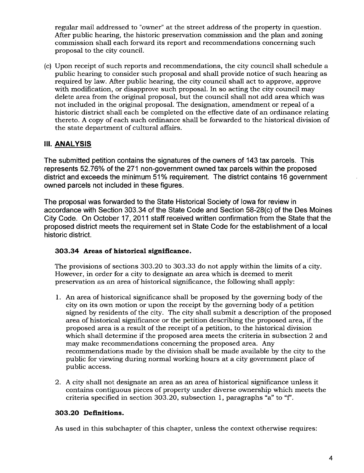regular mail addressed to "owner" at the street address of the property in question. After public hearing, the historic preservation commission and the plan and zoning commission shall each forward its report and recommendations concerning such proposal to the city counciL.

(c) Upon receipt of such reports and recommendations, the city council shall schedule a public hearing to consider such proposal and shall provide notice of such hearing as required by law. After public hearing, the city council shall act to approve, approve with modification, or disapprove such proposal. In so acting the city council may delete area from the original proposal, but the council shall not add area which was not included in the original proposal. The designation, amendment or repeal of a historic district shall each be completed on the effective date of an ordinance relating thereto. A copy of each such ordinance shall be forwarded to the historical division of the state department of cultural affairs.

## II. ANALYSIS

The submitted petition contains the signatures of the owners of 143 tax parcels. This represents 52.76% of the 271 non-government owned tax parcels within the proposed district and exceeds the minimum 51% requirement. The district contains 16 government owned parcels not included in these figures.

The proposal was forwarded to the State Historical Society of Iowa for review in accordance with Section 303.34 of the State Code and Section 58-28(c) of the Des Moines City Code. On October 17,2011 staff received written confirmation from the State that the proposed district meets the requirement set in State Code for the establishment of a local historic district.

#### 303.34 Areas of historical significance.

The provisions of sections 303.20 to 303.33 do not apply within the limits of a city. However, in order for a city to designate an area which is deemed to merit preservation as an area of historical significance, the following shall apply:

- 1. An area of historical significance shall be proposed by the governing body of the city on its own motion or upon the receipt by the governing body of a petition signed by residents of the city. The city shall submit a description of the proposed area of historical significance or the petition describing the proposed area, if the proposed area is a result of the receipt of a petition, to the historical division which shall determine if the proposed area meets the criteria in subsection 2 and may make recommendations concerning the proposed area. Any recommendations made by the division shall be made available by the city to the public for viewing during normal working hours at a city government place of public access.
- 2. A city shall not designate an area as an area of historical significance unless it contains contiguous pieces of property under diverse ownership which meets the criteria specified in section 303.20, subsection 1, paragraphs "a" to "f'.

#### 303.20 Definitions.

As used in this subchapter of this chapter, unless the context otherwise requires: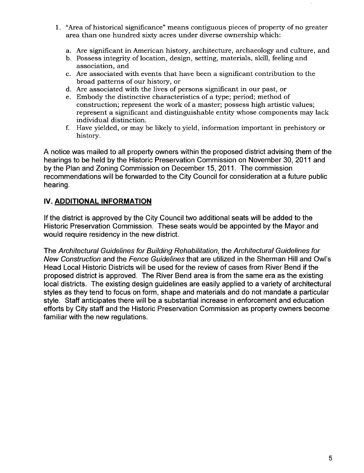- 1. "Area of historical significance" means contiguous pieces of property of no greater area than one hundred sixty acres under diverse ownership which:
	- a. Are significant in American history, architecture, archaeology and culture, and
	- b. Possess integrity of location, design, setting, materials, skil, feeling and association, and
	- c. Are associated with events that have been a significant contribution to the broad patterns of our history, or
	- d. Are associated with the lives of persons significant in our past, or
	- e. Embody the distinctive characteristics of a type; period; method of construction; represent the work of a master; possess high artistic values; represent a significant and distinguishable entity whose components may lack individual distinction.
	- f. Have yielded, or may be likely to yield, information important in prehistory or history.

A notice was mailed to all property owners within the proposed district advising them of the hearings to be held by the Historic Preservation Commission on November 30,2011 and by the Plan and Zoning Commission on December 15, 2011. The commission recommendations will be forwarded to the City Council for consideration at a future public hearing.

## iv. ADDITIONAL INFORMATION

If the district is approved by the City Council two additional seats will be added to the Historic Preservation Commission. These seats would be appointed by the Mayor and would require residency in the new district.

The Architectural Guidelines for Building Rehabiltation, the Architectural Guidelines for New Construction and the Fence Guidelines that are utilized in the Sherman Hill and Owl's Head Local Historic Districts will be used for the review of cases from River Bend if the proposed district is approved. The River Bend area is from the same era as the existing local districts. The existing design guidelines are easily applied to a variety of architectural styles as they tend to focus on form, shape and materials and do not mandate a particular style. Staff anticipates there will be a substantial increase in enforcement and education efforts by City staff and the Historic Preservation Commission as property owners become familiar with the new regulations.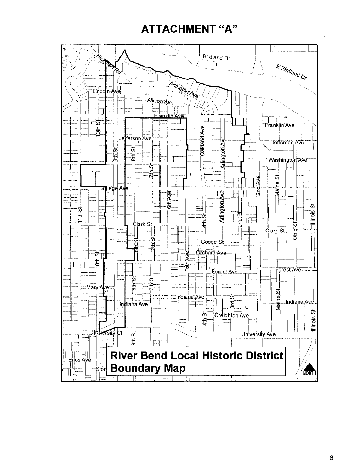# ATTACHMENT "A"

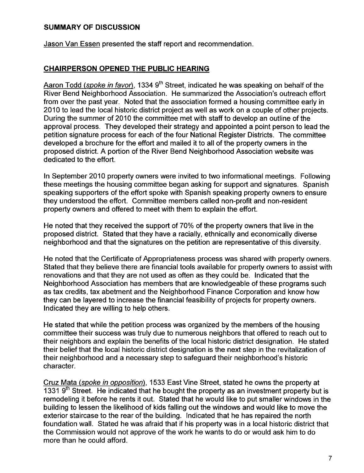## SUMMARY OF DISCUSSION

Jason Van Essen presented the staff report and recommendation.

## CHAIRPERSON OPENED THE PUBLIC HEARING

Aaron Todd (spoke in favor), 1334 9<sup>th</sup> Street, indicated he was speaking on behalf of the River Bend Neighborhood Association. He summarized the Association's outreach effort from over the past year. Noted that the association formed a housing committee early in 2010 to lead the local historic district project as well as work on a couple of other projects. During the summer of 2010 the committee met with staff to develop an outline of the approval process. They developed their strategy and appointed a point person to lead the petition signature process for each of the four National Register Districts. The committee developed a brochure for the effort and mailed it to all of the property owners in the proposed district. A portion of the River Bend Neighborhood Association website was dedicated to the effort.

In September 2010 property owners were invited to two informational meetings. Following these meetings the housing committee began asking for support and signatures. Spanish speaking supporters of the effort spoke with Spanish speaking property owners to ensure they understood the effort. Committee members called non-profit and non-resident property owners and offered to meet with them to explain the effort.

He noted that they received the support of 70% of the property owners that live in the proposed district. Stated that they have a racially, ethnically and economically diverse neighborhood and that the signatures on the petition are representative of this diversity.

He noted that the Certificate of Appropriateness process was shared with property owners. Stated that they believe there are financial tools available for property owners to assist with renovations and that they are not used as often as they could be. Indicated that the Neighborhood Association has members that are knowledgeable of these programs such as tax credits, tax abetment and the Neighborhood Finance Corporation and know how they can be layered to increase the financial feasibility of projects for property owners. Indicated they are willing to help others.

He stated that while the petition process was organized by the members of the housing committee their success was truly due to numerous neighbors that offered to reach out to their neighbors and explain the benefits of the local historic district designation. He stated their belief that the local historic district designation is the next step in the revitalization of their neighborhood and a necessary step to safeguard their neighborhood's historic character.

Cruz Mata (spoke in opposition), 1533 East Vine Street, stated he owns the property at 1331  $9<sup>th</sup>$  Street. He indicated that he bought the property as an investment property but is remodeling it before he rents it out. Stated that he would like to put smaller windows in the building to lessen the likelihood of kids falling out the windows and would like to move the exterior staircase to the rear of the building. Indicated that he has repaired the north foundation walL. Stated he was afraid that if his property was in a local historic district that the Commission would not approve of the work he wants to do or would ask him to do more than he could afford.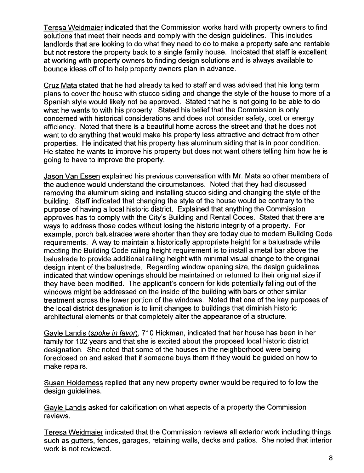Teresa Weidmaier indicated that the Commission works hard with property owners to find solutions that meet their needs and comply with the design guidelines. This includes landlords that are looking to do what they need to do to make a property safe and rentable but not restore the property back to a single family house. Indicated that staff is excellent at working with property owners to finding design solutions and is always available to bounce ideas off of to help property owners plan in advance.

Cruz Mata stated that he had already talked to staff and was advised that his long term plans to cover the house with stucco siding and change the style of the house to more of a Spanish style would likely not be approved. Stated that he is not going to be able to do what he wants to with his property. Stated his belief that the Commission is only concerned with historical considerations and does not consider safety, cost or energy efficiency. Noted that there is a beautiful home across the street and that he does not want to do anything that would make his property less attractive and detract from other properties. He indicated that his property has aluminum siding that is in poor condition. He stated he wants to improve his property but does not want others telling him how he is going to have to improve the property.

Jason Van Essen explained his previous conversation with Mr. Mata so other members of the audience would understand the circumstances. Noted that they had discussed removing the aluminum siding and installing stucco siding and changing the style of the building. Staff indicated that changing the style of the house would be contrary to the purpose of having a local historic district. Explained that anything the Commission approves has to comply with the City's Building and Rental Codes. Stated that there are ways to address those codes without losing the historic integrity of a property. For example, porch balustrades were shorter than they are today due to modern Building Code requirements. A way to maintain a historically appropriate height for a balustrade while meeting the Building Code railing height requirement is to install a metal bar above the balustrade to provide additional railing height with minimal visual change to the original design intent of the balustrade. Regarding window opening size, the design guidelines indicated that window openings should be maintained or returned to their original size if they have been modified. The applicant's concern for kids potentially falling out of the windows might be addressed on the inside of the building with bars or other similar treatment across the lower portion of the windows. Noted that one of the key purposes of the local district designation is to limit changes to buildings that diminish historic architectural elements or that completely alter the appearance of a structure.

Gayle Landis (spoke in favor), 710 Hickman, indicated that her house has been in her family for 102 years and that she is excited about the proposed local historic district designation. She noted that some of the houses in the neighborhood were being foreclosed on and asked that if someone buys them if they would be guided on how to make repairs.

Susan Holderness replied that any new property owner would be required to follow the design guidelines.

Gayle Landis asked for calcification on what aspects of a property the Commission reviews.

Teresa Weidmaier indicated that the Commission reviews all exterior work including things such as gutters, fences, garages, retaining walls, decks and patios. She noted that interior work is not reviewed.